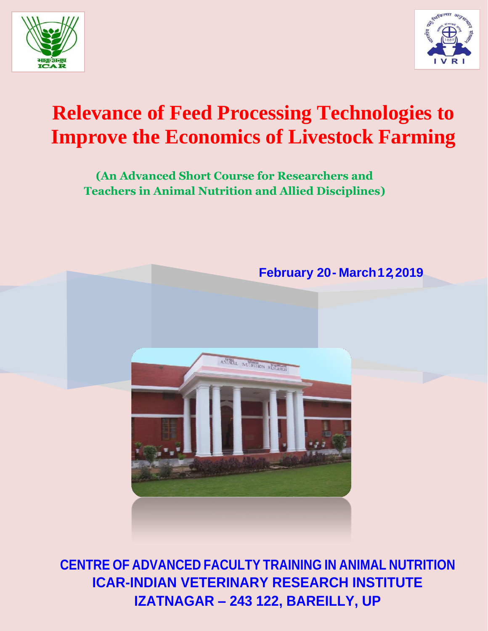



# **Relevance of Feed Processing Technologies to Improve the Economics of Livestock Farming**

**(An Advanced Short Course for Researchers and Teachers in Animal Nutrition and Allied Disciplines)**



**CENTRE OF ADVANCED FACULTY TRAINING IN ANIMAL NUTRITION ICAR-INDIAN VETERINARY RESEARCH INSTITUTE IZATNAGAR – 243 122, BAREILLY, UP**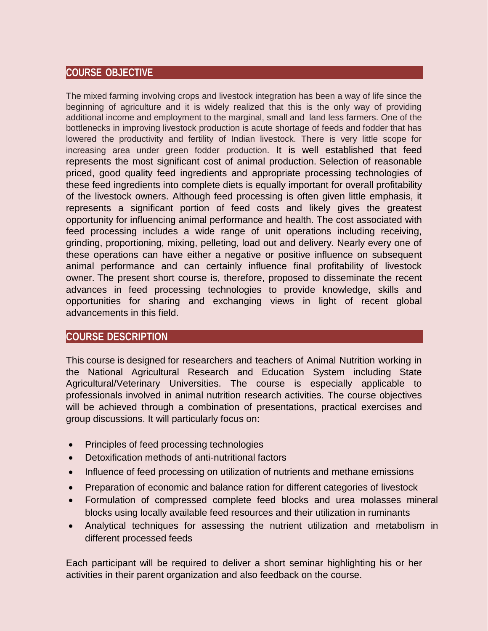## **COURSE OBJECTIVE**

The mixed farming involving crops and livestock integration has been a way of life since the beginning of agriculture and it is widely realized that this is the only way of providing additional income and employment to the marginal, small and land less farmers. One of the bottlenecks in improving livestock production is acute shortage of feeds and fodder that has lowered the productivity and fertility of Indian livestock. There is very little scope for increasing area under green fodder production. It is well established that feed represents the most significant cost of animal production. Selection of reasonable priced, good quality feed ingredients and appropriate processing technologies of these feed ingredients into complete diets is equally important for overall profitability of the livestock owners. Although feed processing is often given little emphasis, it represents a significant portion of feed costs and likely gives the greatest opportunity for influencing animal performance and health. The cost associated with feed processing includes a wide range of unit operations including receiving, grinding, proportioning, mixing, pelleting, load out and delivery. Nearly every one of these operations can have either a negative or positive influence on subsequent animal performance and can certainly influence final profitability of livestock owner. The present short course is, therefore, proposed to disseminate the recent advances in feed processing technologies to provide knowledge, skills and opportunities for sharing and exchanging views in light of recent global advancements in this field.

## **COURSE DESCRIPTION**

This course is designed for researchers and teachers of Animal Nutrition working in the National Agricultural Research and Education System including State Agricultural/Veterinary Universities. The course is especially applicable to professionals involved in animal nutrition research activities. The course objectives will be achieved through a combination of presentations, practical exercises and group discussions. It will particularly focus on:

- Principles of feed processing technologies
- Detoxification methods of anti-nutritional factors
- Influence of feed processing on utilization of nutrients and methane emissions
- Preparation of economic and balance ration for different categories of livestock
- Formulation of compressed complete feed blocks and urea molasses mineral blocks using locally available feed resources and their utilization in ruminants
- Analytical techniques for assessing the nutrient utilization and metabolism in different processed feeds

Each participant will be required to deliver a short seminar highlighting his or her activities in their parent organization and also feedback on the course.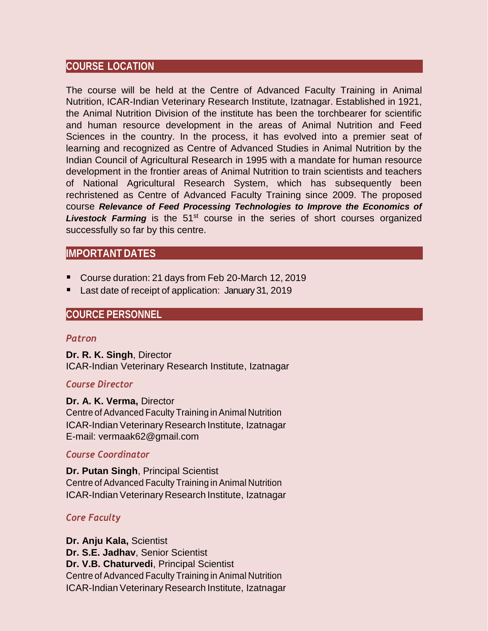## **COURSE LOCATION**

The course will be held at the Centre of Advanced Faculty Training in Animal Nutrition, ICAR-Indian Veterinary Research Institute, Izatnagar. Established in 1921, the Animal Nutrition Division of the institute has been the torchbearer for scientific and human resource development in the areas of Animal Nutrition and Feed Sciences in the country. In the process, it has evolved into a premier seat of learning and recognized as Centre of Advanced Studies in Animal Nutrition by the Indian Council of Agricultural Research in 1995 with a mandate for human resource development in the frontier areas of Animal Nutrition to train scientists and teachers of National Agricultural Research System, which has subsequently been rechristened as Centre of Advanced Faculty Training since 2009. The proposed course *Relevance of Feed Processing Technologies to Improve the Economics of*  Livestock Farming is the 51<sup>st</sup> course in the series of short courses organized successfully so far by this centre.

## **IMPORTANT DATES**

- Course duration: 21 days from Feb 20-March 12, 2019
- Last date of receipt of application: January 31, 2019

## **COURCE PERSONNEL**

#### *Patron*

**Dr. R. K. Singh**, Director ICAR-Indian Veterinary Research Institute, Izatnagar

## *Course Director*

**Dr. A. K. Verma,** Director Centre of Advanced Faculty Training in Animal Nutrition ICAR-Indian Veterinary Research Institute, Izatnagar E-mail: [vermaak62@gmail.com](mailto:vermaak62@gmail.com)

## *Course Coordinator*

**Dr. Putan Singh**, Principal Scientist Centre of Advanced Faculty Training in Animal Nutrition ICAR-Indian Veterinary Research Institute, Izatnagar

## *Core Faculty*

**Dr. Anju Kala,** Scientist **Dr. S.E. Jadhav**, Senior Scientist **Dr. V.B. Chaturvedi**, Principal Scientist Centre of Advanced Faculty Training in Animal Nutrition ICAR-Indian Veterinary Research Institute, Izatnagar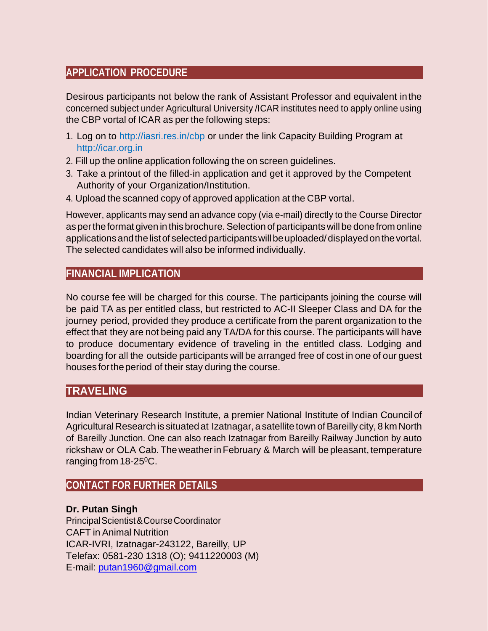## **APPLICATION PROCEDURE**

Desirous participants not below the rank of Assistant Professor and equivalent inthe concerned subject under Agricultural University /ICAR institutes need to apply online using the CBP vortal of ICAR as per the following steps:

- 1. Log on to<http://iasri.res.in/cbp> or under the link Capacity Building Program a[t](http://icar.org.in/) [http://icar.org.in](http://icar.org.in/)
- 2. Fill up the online application following the on screen guidelines.
- 3. Take a printout of the filled-in application and get it approved by the Competent Authority of your Organization/Institution.
- 4. Upload the scanned copy of approved application at the CBP vortal.

However, applicants may send an advance copy (via e-mail) directly to the Course Director as per the format given in this brochure. Selection of participants will be done from online applications and the list of selected participants will be uploaded/displayed on the vortal. The selected candidates will also be informed individually.

## **FINANCIAL IMPLICATION**

No course fee will be charged for this course. The participants joining the course will be paid TA as per entitled class, but restricted to AC-II Sleeper Class and DA for the journey period, provided they produce a certificate from the parent organization to the effect that they are not being paid any TA/DA for this course. The participants will have to produce documentary evidence of traveling in the entitled class. Lodging and boarding for all the outside participants will be arranged free of cost in one of our guest houses fortheperiod of their stay during the course.

## **TRAVELING**

Indian Veterinary Research Institute, a premier National Institute of Indian Council of Agricultural Research is situated at Izatnagar, a satellite town of Bareilly city, 8 km North of Bareilly Junction. One can also reach Izatnagar from Bareilly Railway Junction by auto rickshaw or OLA Cab.The weatherin February & March will be pleasant, temperature ranging from 18-25<sup>0</sup>C.

## **CONTACT FOR FURTHER DETAILS**

## **Dr. Putan Singh**

PrincipalScientist&CourseCoordinator CAFT in Animal Nutrition ICAR-IVRI, Izatnagar-243122, Bareilly, UP Telefax: 0581-230 1318 (O); 9411220003 (M) E-mail: [putan1960@gmail.com](mailto:putan1960@gmail.com)